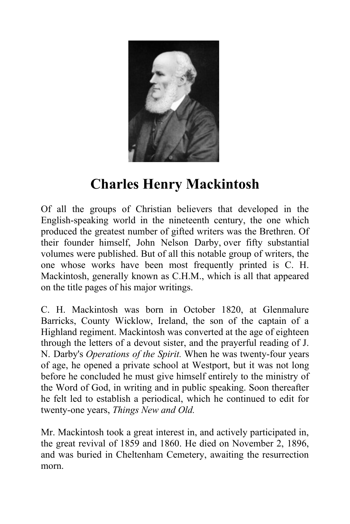

## **Charles Henry Mackintosh**

Of all the groups of Christian believers that developed in the English-speaking world in the nineteenth century, the one which produced the greatest number of gifted writers was the Brethren. Of their founder himself, John Nelson Darby, over fifty substantial volumes were published. But of all this notable group of writers, the one whose works have been most frequently printed is C. H. Mackintosh, generally known as C.H.M., which is all that appeared on the title pages of his major writings.

C. H. Mackintosh was born in October 1820, at Glenmalure Barricks, County Wicklow, Ireland, the son of the captain of a Highland regiment. Mackintosh was converted at the age of eighteen through the letters of a devout sister, and the prayerful reading of J. N. Darby's *Operations of the Spirit.* When he was twenty-four years of age, he opened a private school at Westport, but it was not long before he concluded he must give himself entirely to the ministry of the Word of God, in writing and in public speaking. Soon thereafter he felt led to establish a periodical, which he continued to edit for twenty-one years, *Things New and Old.*

Mr. Mackintosh took a great interest in, and actively participated in, the great revival of 1859 and 1860. He died on November 2, 1896, and was buried in Cheltenham Cemetery, awaiting the resurrection morn.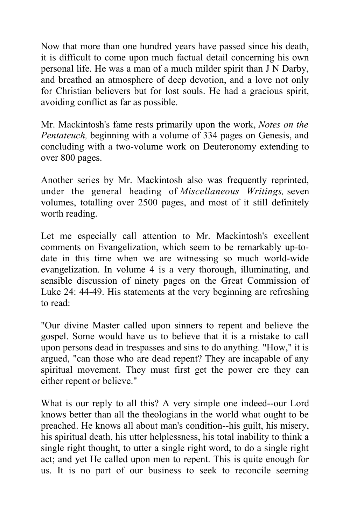Now that more than one hundred years have passed since his death, it is difficult to come upon much factual detail concerning his own personal life. He was a man of a much milder spirit than J N Darby, and breathed an atmosphere of deep devotion, and a love not only for Christian believers but for lost souls. He had a gracious spirit, avoiding conflict as far as possible.

Mr. Mackintosh's fame rests primarily upon the work, *Notes on the Pentateuch,* beginning with a volume of 334 pages on Genesis, and concluding with a two-volume work on Deuteronomy extending to over 800 pages.

Another series by Mr. Mackintosh also was frequently reprinted, under the general heading of *Miscellaneous Writings,* seven volumes, totalling over 2500 pages, and most of it still definitely worth reading.

Let me especially call attention to Mr. Mackintosh's excellent comments on Evangelization, which seem to be remarkably up-todate in this time when we are witnessing so much world-wide evangelization. In volume 4 is a very thorough, illuminating, and sensible discussion of ninety pages on the Great Commission of Luke 24: 44-49. His statements at the very beginning are refreshing to read:

"Our divine Master called upon sinners to repent and believe the gospel. Some would have us to believe that it is a mistake to call upon persons dead in trespasses and sins to do anything. "How," it is argued, "can those who are dead repent? They are incapable of any spiritual movement. They must first get the power ere they can either repent or believe."

What is our reply to all this? A very simple one indeed--our Lord knows better than all the theologians in the world what ought to be preached. He knows all about man's condition--his guilt, his misery, his spiritual death, his utter helplessness, his total inability to think a single right thought, to utter a single right word, to do a single right act; and yet He called upon men to repent. This is quite enough for us. It is no part of our business to seek to reconcile seeming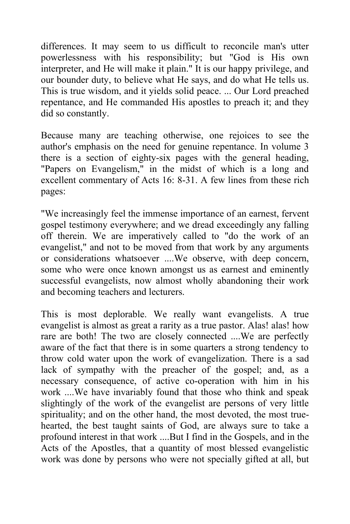differences. It may seem to us difficult to reconcile man's utter powerlessness with his responsibility; but "God is His own interpreter, and He will make it plain." It is our happy privilege, and our bounder duty, to believe what He says, and do what He tells us. This is true wisdom, and it yields solid peace. ... Our Lord preached repentance, and He commanded His apostles to preach it; and they did so constantly.

Because many are teaching otherwise, one rejoices to see the author's emphasis on the need for genuine repentance. In volume 3 there is a section of eighty-six pages with the general heading, "Papers on Evangelism," in the midst of which is a long and excellent commentary of Acts 16: 8-31. A few lines from these rich pages:

"We increasingly feel the immense importance of an earnest, fervent gospel testimony everywhere; and we dread exceedingly any falling off therein. We are imperatively called to "do the work of an evangelist," and not to be moved from that work by any arguments or considerations whatsoever ....We observe, with deep concern, some who were once known amongst us as earnest and eminently successful evangelists, now almost wholly abandoning their work and becoming teachers and lecturers.

This is most deplorable. We really want evangelists. A true evangelist is almost as great a rarity as a true pastor. Alas! alas! how rare are both! The two are closely connected ....We are perfectly aware of the fact that there is in some quarters a strong tendency to throw cold water upon the work of evangelization. There is a sad lack of sympathy with the preacher of the gospel; and, as a necessary consequence, of active co-operation with him in his work ....We have invariably found that those who think and speak slightingly of the work of the evangelist are persons of very little spirituality; and on the other hand, the most devoted, the most truehearted, the best taught saints of God, are always sure to take a profound interest in that work ....But I find in the Gospels, and in the Acts of the Apostles, that a quantity of most blessed evangelistic work was done by persons who were not specially gifted at all, but